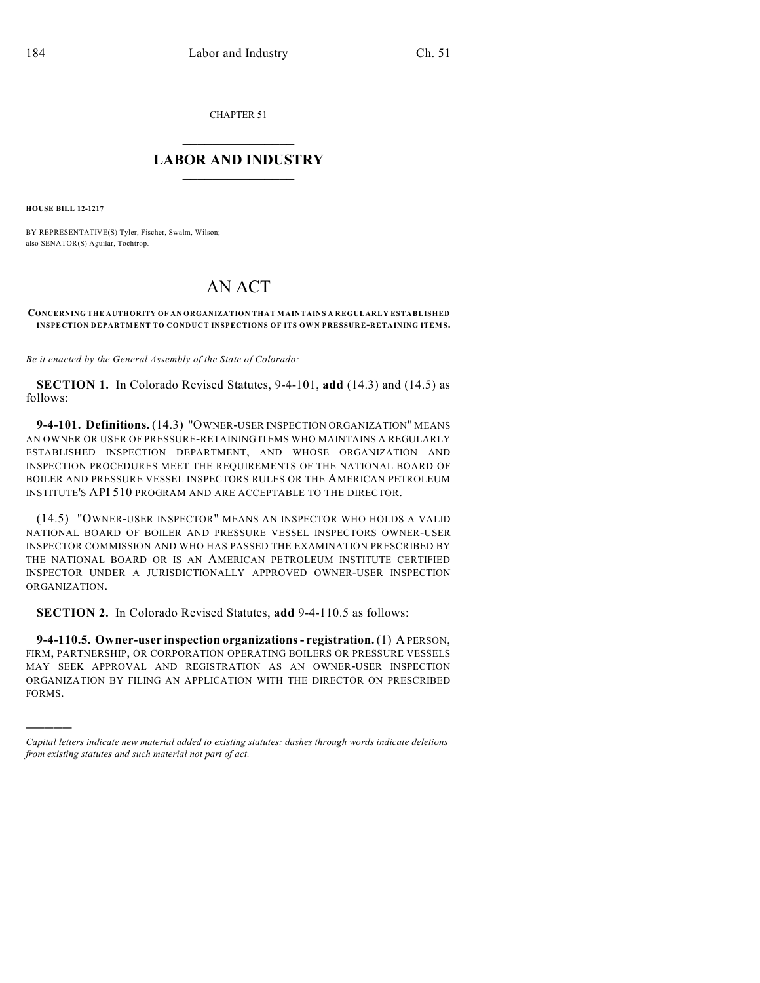CHAPTER 51

## $\overline{\phantom{a}}$  . The set of the set of the set of the set of the set of the set of the set of the set of the set of the set of the set of the set of the set of the set of the set of the set of the set of the set of the set o **LABOR AND INDUSTRY**  $\frac{1}{\sqrt{2}}$  ,  $\frac{1}{\sqrt{2}}$  ,  $\frac{1}{\sqrt{2}}$  ,  $\frac{1}{\sqrt{2}}$  ,  $\frac{1}{\sqrt{2}}$  ,  $\frac{1}{\sqrt{2}}$

**HOUSE BILL 12-1217**

)))))

BY REPRESENTATIVE(S) Tyler, Fischer, Swalm, Wilson; also SENATOR(S) Aguilar, Tochtrop.

## AN ACT

## **CONCERNING THE AUTHORITY OF AN ORGANIZATION THAT MAINTAINS A REGULARLY ESTABLISHED INSPECTION DEPARTMENT TO CONDUCT INSPECTIONS OF ITS OWN PRESSURE-RETAINING ITEMS.**

*Be it enacted by the General Assembly of the State of Colorado:*

**SECTION 1.** In Colorado Revised Statutes, 9-4-101, **add** (14.3) and (14.5) as follows:

**9-4-101. Definitions.** (14.3) "OWNER-USER INSPECTION ORGANIZATION" MEANS AN OWNER OR USER OF PRESSURE-RETAINING ITEMS WHO MAINTAINS A REGULARLY ESTABLISHED INSPECTION DEPARTMENT, AND WHOSE ORGANIZATION AND INSPECTION PROCEDURES MEET THE REQUIREMENTS OF THE NATIONAL BOARD OF BOILER AND PRESSURE VESSEL INSPECTORS RULES OR THE AMERICAN PETROLEUM INSTITUTE'S API 510 PROGRAM AND ARE ACCEPTABLE TO THE DIRECTOR.

(14.5) "OWNER-USER INSPECTOR" MEANS AN INSPECTOR WHO HOLDS A VALID NATIONAL BOARD OF BOILER AND PRESSURE VESSEL INSPECTORS OWNER-USER INSPECTOR COMMISSION AND WHO HAS PASSED THE EXAMINATION PRESCRIBED BY THE NATIONAL BOARD OR IS AN AMERICAN PETROLEUM INSTITUTE CERTIFIED INSPECTOR UNDER A JURISDICTIONALLY APPROVED OWNER-USER INSPECTION ORGANIZATION.

**SECTION 2.** In Colorado Revised Statutes, **add** 9-4-110.5 as follows:

**9-4-110.5. Owner-user inspection organizations- registration.** (1) A PERSON, FIRM, PARTNERSHIP, OR CORPORATION OPERATING BOILERS OR PRESSURE VESSELS MAY SEEK APPROVAL AND REGISTRATION AS AN OWNER-USER INSPECTION ORGANIZATION BY FILING AN APPLICATION WITH THE DIRECTOR ON PRESCRIBED FORMS.

*Capital letters indicate new material added to existing statutes; dashes through words indicate deletions from existing statutes and such material not part of act.*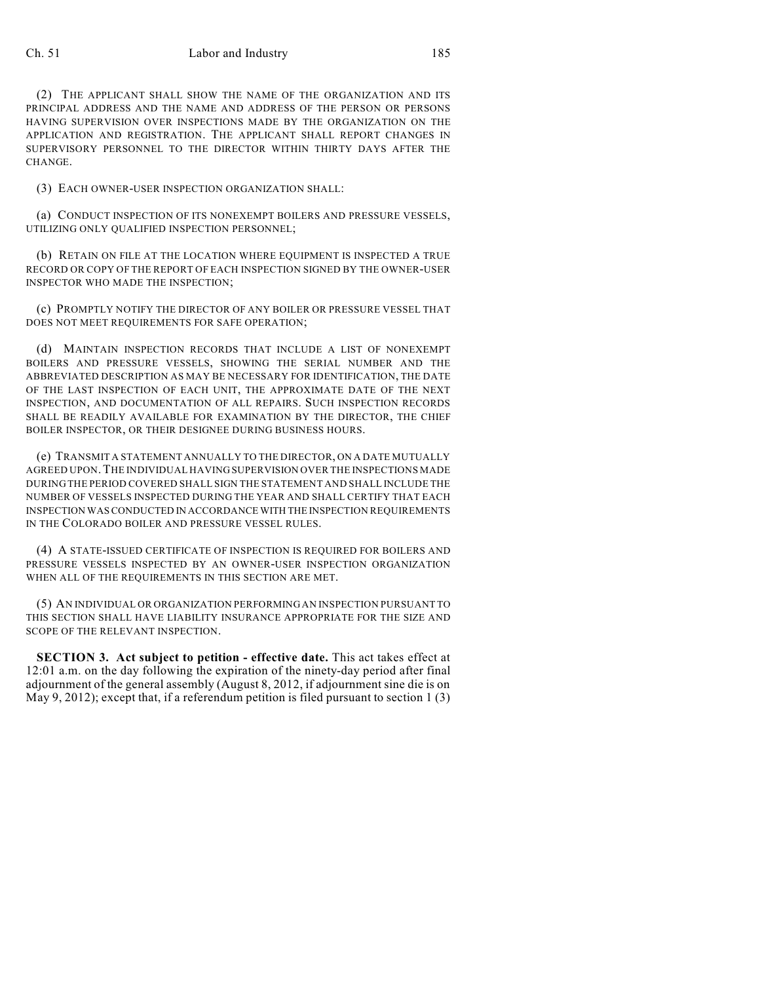## Ch. 51 Labor and Industry 185

(2) THE APPLICANT SHALL SHOW THE NAME OF THE ORGANIZATION AND ITS PRINCIPAL ADDRESS AND THE NAME AND ADDRESS OF THE PERSON OR PERSONS HAVING SUPERVISION OVER INSPECTIONS MADE BY THE ORGANIZATION ON THE APPLICATION AND REGISTRATION. THE APPLICANT SHALL REPORT CHANGES IN SUPERVISORY PERSONNEL TO THE DIRECTOR WITHIN THIRTY DAYS AFTER THE CHANGE.

(3) EACH OWNER-USER INSPECTION ORGANIZATION SHALL:

(a) CONDUCT INSPECTION OF ITS NONEXEMPT BOILERS AND PRESSURE VESSELS, UTILIZING ONLY QUALIFIED INSPECTION PERSONNEL;

(b) RETAIN ON FILE AT THE LOCATION WHERE EQUIPMENT IS INSPECTED A TRUE RECORD OR COPY OF THE REPORT OF EACH INSPECTION SIGNED BY THE OWNER-USER INSPECTOR WHO MADE THE INSPECTION;

(c) PROMPTLY NOTIFY THE DIRECTOR OF ANY BOILER OR PRESSURE VESSEL THAT DOES NOT MEET REQUIREMENTS FOR SAFE OPERATION;

(d) MAINTAIN INSPECTION RECORDS THAT INCLUDE A LIST OF NONEXEMPT BOILERS AND PRESSURE VESSELS, SHOWING THE SERIAL NUMBER AND THE ABBREVIATED DESCRIPTION AS MAY BE NECESSARY FOR IDENTIFICATION, THE DATE OF THE LAST INSPECTION OF EACH UNIT, THE APPROXIMATE DATE OF THE NEXT INSPECTION, AND DOCUMENTATION OF ALL REPAIRS. SUCH INSPECTION RECORDS SHALL BE READILY AVAILABLE FOR EXAMINATION BY THE DIRECTOR, THE CHIEF BOILER INSPECTOR, OR THEIR DESIGNEE DURING BUSINESS HOURS.

(e) TRANSMIT A STATEMENT ANNUALLY TO THE DIRECTOR, ON A DATE MUTUALLY AGREED UPON.THE INDIVIDUAL HAVING SUPERVISION OVER THE INSPECTIONS MADE DURING THE PERIOD COVERED SHALL SIGN THE STATEMENT AND SHALL INCLUDE THE NUMBER OF VESSELS INSPECTED DURING THE YEAR AND SHALL CERTIFY THAT EACH INSPECTION WASCONDUCTED IN ACCORDANCE WITH THE INSPECTION REQUIREMENTS IN THE COLORADO BOILER AND PRESSURE VESSEL RULES.

(4) A STATE-ISSUED CERTIFICATE OF INSPECTION IS REQUIRED FOR BOILERS AND PRESSURE VESSELS INSPECTED BY AN OWNER-USER INSPECTION ORGANIZATION WHEN ALL OF THE REQUIREMENTS IN THIS SECTION ARE MET.

(5) AN INDIVIDUAL OR ORGANIZATION PERFORMING AN INSPECTION PURSUANT TO THIS SECTION SHALL HAVE LIABILITY INSURANCE APPROPRIATE FOR THE SIZE AND SCOPE OF THE RELEVANT INSPECTION.

**SECTION 3. Act subject to petition - effective date.** This act takes effect at 12:01 a.m. on the day following the expiration of the ninety-day period after final adjournment of the general assembly (August 8, 2012, if adjournment sine die is on May 9, 2012); except that, if a referendum petition is filed pursuant to section 1  $(3)$